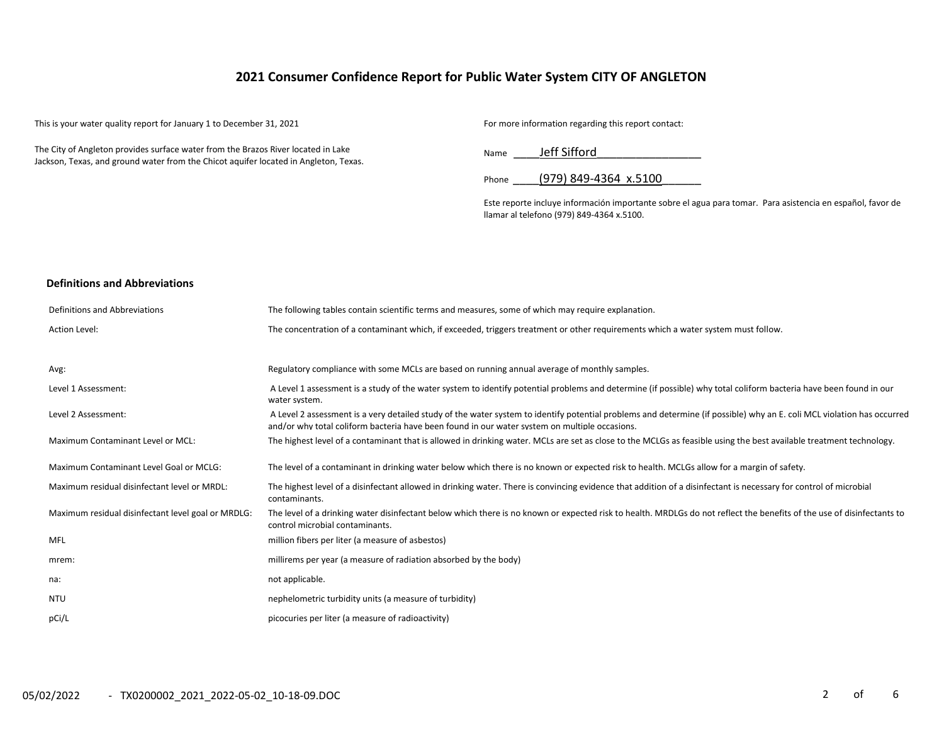# **2021 Consumer Confidence Report for Public Water System CITY OF ANGLETON**

This is your water quality report for January 1 to December 31, 2021 For more information regarding this report contact:

The City of Angleton provides surface water from the Brazos River located in Lake Jackson, Texas, and ground water from the Chicot aquifer located in Angleton, Texas.

Name Jeff Sifford

Phone (979) 849-4364 x.5100

Este reporte incluye información importante sobre el agua para tomar. Para asistencia en español, favor de llamar al telefono (979) 849-4364 x.5100.

#### **Definitions and Abbreviations**

| Definitions and Abbreviations                      | The following tables contain scientific terms and measures, some of which may require explanation.                                                                                                                                                                      |
|----------------------------------------------------|-------------------------------------------------------------------------------------------------------------------------------------------------------------------------------------------------------------------------------------------------------------------------|
| Action Level:                                      | The concentration of a contaminant which, if exceeded, triggers treatment or other requirements which a water system must follow.                                                                                                                                       |
|                                                    |                                                                                                                                                                                                                                                                         |
| Avg:                                               | Regulatory compliance with some MCLs are based on running annual average of monthly samples.                                                                                                                                                                            |
| Level 1 Assessment:                                | A Level 1 assessment is a study of the water system to identify potential problems and determine (if possible) why total coliform bacteria have been found in our<br>water system.                                                                                      |
| Level 2 Assessment:                                | A Level 2 assessment is a very detailed study of the water system to identify potential problems and determine (if possible) why an E. coli MCL violation has occurred<br>and/or why total coliform bacteria have been found in our water system on multiple occasions. |
| Maximum Contaminant Level or MCL:                  | The highest level of a contaminant that is allowed in drinking water. MCLs are set as close to the MCLGs as feasible using the best available treatment technology.                                                                                                     |
| Maximum Contaminant Level Goal or MCLG:            | The level of a contaminant in drinking water below which there is no known or expected risk to health. MCLGs allow for a margin of safety.                                                                                                                              |
| Maximum residual disinfectant level or MRDL:       | The highest level of a disinfectant allowed in drinking water. There is convincing evidence that addition of a disinfectant is necessary for control of microbial<br>contaminants.                                                                                      |
| Maximum residual disinfectant level goal or MRDLG: | The level of a drinking water disinfectant below which there is no known or expected risk to health. MRDLGs do not reflect the benefits of the use of disinfectants to<br>control microbial contaminants.                                                               |
| MFL                                                | million fibers per liter (a measure of asbestos)                                                                                                                                                                                                                        |
| mrem:                                              | millirems per year (a measure of radiation absorbed by the body)                                                                                                                                                                                                        |
| na:                                                | not applicable.                                                                                                                                                                                                                                                         |
| NTU                                                | nephelometric turbidity units (a measure of turbidity)                                                                                                                                                                                                                  |
| pCi/L                                              | picocuries per liter (a measure of radioactivity)                                                                                                                                                                                                                       |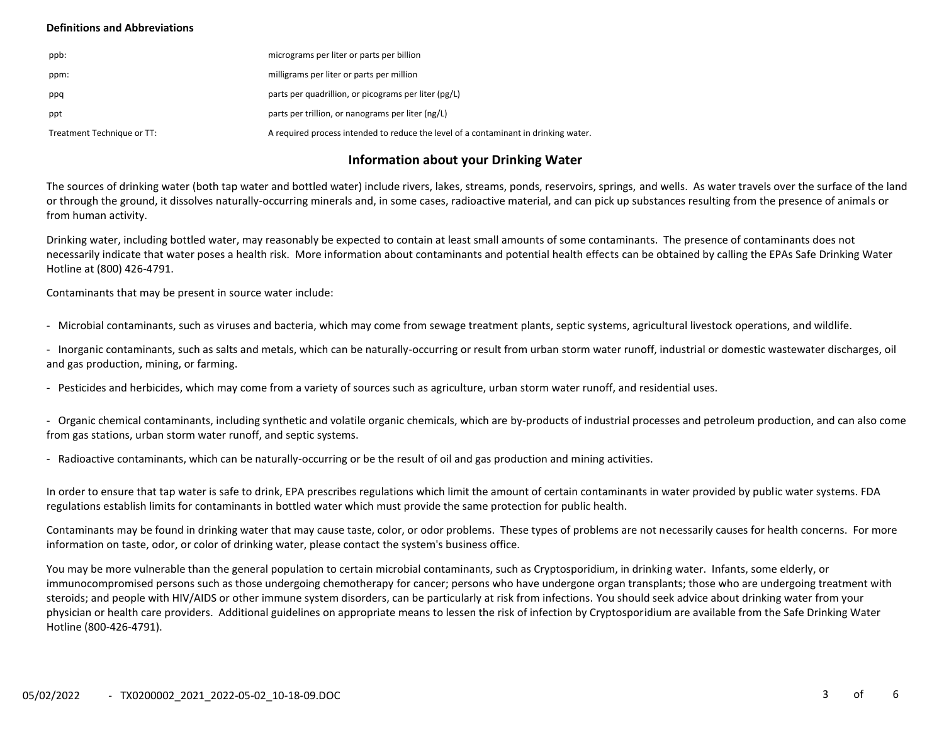### **Definitions and Abbreviations**

| ppb:                       | micrograms per liter or parts per billion                                           |
|----------------------------|-------------------------------------------------------------------------------------|
| ppm:                       | milligrams per liter or parts per million                                           |
| ppq                        | parts per quadrillion, or picograms per liter (pg/L)                                |
| ppt                        | parts per trillion, or nanograms per liter (ng/L)                                   |
| Treatment Technique or TT: | A required process intended to reduce the level of a contaminant in drinking water. |

# **Information about your Drinking Water**

The sources of drinking water (both tap water and bottled water) include rivers, lakes, streams, ponds, reservoirs, springs, and wells. As water travels over the surface of the land or through the ground, it dissolves naturally-occurring minerals and, in some cases, radioactive material, and can pick up substances resulting from the presence of animals or from human activity.

Drinking water, including bottled water, may reasonably be expected to contain at least small amounts of some contaminants. The presence of contaminants does not necessarily indicate that water poses a health risk. More information about contaminants and potential health effects can be obtained by calling the EPAs Safe Drinking Water Hotline at (800) 426-4791.

Contaminants that may be present in source water include:

- Microbial contaminants, such as viruses and bacteria, which may come from sewage treatment plants, septic systems, agricultural livestock operations, and wildlife.

- Inorganic contaminants, such as salts and metals, which can be naturally-occurring or result from urban storm water runoff, industrial or domestic wastewater discharges, oil and gas production, mining, or farming.

- Pesticides and herbicides, which may come from a variety of sources such as agriculture, urban storm water runoff, and residential uses.

- Organic chemical contaminants, including synthetic and volatile organic chemicals, which are by-products of industrial processes and petroleum production, and can also come from gas stations, urban storm water runoff, and septic systems.

- Radioactive contaminants, which can be naturally-occurring or be the result of oil and gas production and mining activities.

In order to ensure that tap water is safe to drink, EPA prescribes regulations which limit the amount of certain contaminants in water provided by public water systems. FDA regulations establish limits for contaminants in bottled water which must provide the same protection for public health.

Contaminants may be found in drinking water that may cause taste, color, or odor problems. These types of problems are not necessarily causes for health concerns. For more information on taste, odor, or color of drinking water, please contact the system's business office.

You may be more vulnerable than the general population to certain microbial contaminants, such as Cryptosporidium, in drinking water. Infants, some elderly, or immunocompromised persons such as those undergoing chemotherapy for cancer; persons who have undergone organ transplants; those who are undergoing treatment with steroids; and people with HIV/AIDS or other immune system disorders, can be particularly at risk from infections. You should seek advice about drinking water from your physician or health care providers. Additional guidelines on appropriate means to lessen the risk of infection by Cryptosporidium are available from the Safe Drinking Water Hotline (800-426-4791).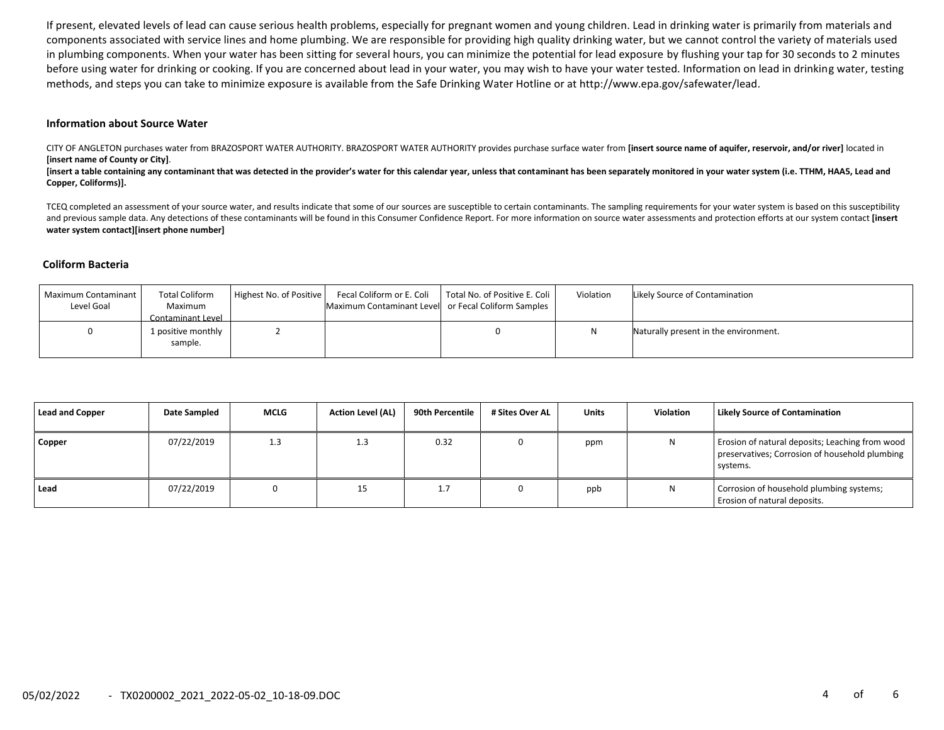If present, elevated levels of lead can cause serious health problems, especially for pregnant women and young children. Lead in drinking water is primarily from materials and components associated with service lines and home plumbing. We are responsible for providing high quality drinking water, but we cannot control the variety of materials used in plumbing components. When your water has been sitting for several hours, you can minimize the potential for lead exposure by flushing your tap for 30 seconds to 2 minutes before using water for drinking or cooking. If you are concerned about lead in your water, you may wish to have your water tested. Information on lead in drinking water, testing methods, and steps you can take to minimize exposure is available from the Safe Drinking Water Hotline or at http://www.epa.gov/safewater/lead.

#### **Information about Source Water**

CITY OF ANGLETON purchases water from BRAZOSPORT WATER AUTHORITY. BRAZOSPORT WATER AUTHORITY provides purchase surface water from **[insert source name of aquifer, reservoir, and/or river]** located in **[insert name of County or City]**.

[insert a table containing any contaminant that was detected in the provider's water for this calendar year, unless that contaminant has been separately monitored in your water system (i.e. TTHM, HAA5, Lead and **Copper, Coliforms)].**

TCEQ completed an assessment of your source water, and results indicate that some of our sources are susceptible to certain contaminants. The sampling requirements for your water system is based on this susceptibility and previous sample data. Any detections of these contaminants will be found in this Consumer Confidence Report. For more information on source water assessments and protection efforts at our system contact **[insert water system contact][insert phone number]**

#### **Coliform Bacteria**

| Maximum Contaminant<br>Level Goal | <b>Total Coliform</b><br>Maximum | Highest No. of Positive | Fecal Coliform or E. Coli<br>Maximum Contaminant Level or Fecal Coliform Samples | Total No. of Positive E. Coli | Violation | Likely Source of Contamination        |
|-----------------------------------|----------------------------------|-------------------------|----------------------------------------------------------------------------------|-------------------------------|-----------|---------------------------------------|
|                                   | Contaminant Level                |                         |                                                                                  |                               |           |                                       |
|                                   | 1 positive monthly<br>sample.    |                         |                                                                                  |                               |           | Naturally present in the environment. |

| Lead and Copper | Date Sampled | <b>MCLG</b> | <b>Action Level (AL)</b> | 90th Percentile | # Sites Over AL | <b>Units</b> | Violation | <b>Likely Source of Contamination</b>                                                                         |
|-----------------|--------------|-------------|--------------------------|-----------------|-----------------|--------------|-----------|---------------------------------------------------------------------------------------------------------------|
| Copper          | 07/22/2019   | 1.3         | 1.3                      | 0.32            |                 | ppm          |           | Erosion of natural deposits; Leaching from wood<br>preservatives; Corrosion of household plumbing<br>systems. |
| Lead            | 07/22/2019   |             | 15                       | <b></b>         |                 | ppb          |           | Corrosion of household plumbing systems;<br>Erosion of natural deposits.                                      |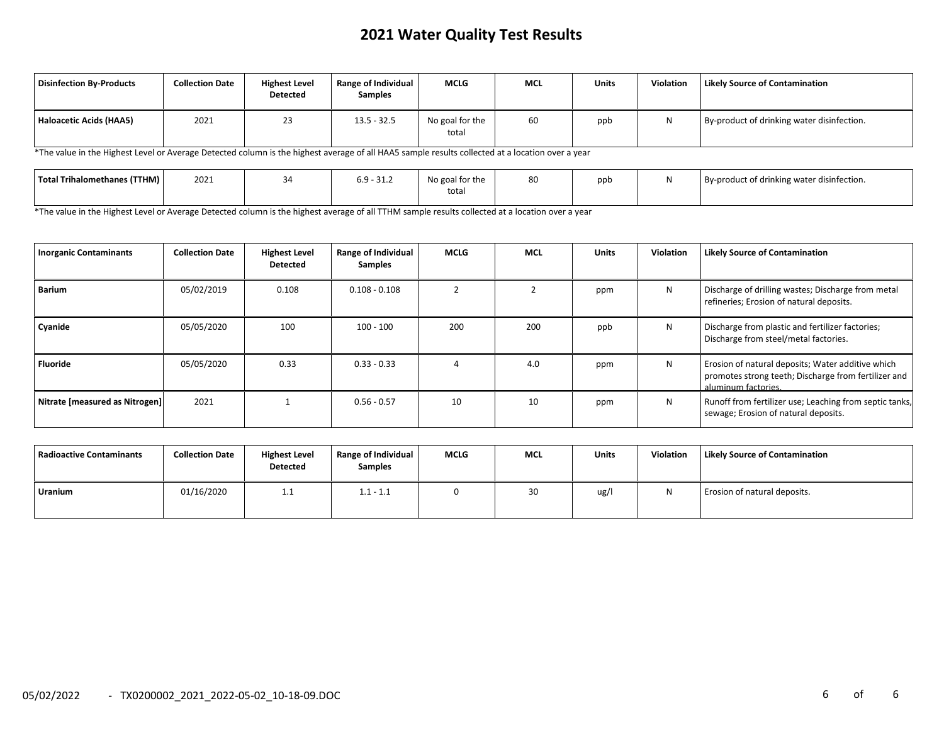# **2021 Water Quality Test Results**

| Disinfection By-Products | <b>Collection Date</b> | <b>Highest Level</b><br><b>Detected</b> | Range of Individual<br><b>Samples</b> | <b>MCLG</b>              | <b>MCL</b> | <b>Units</b> | <b>Violation</b> | <b>Likely Source of Contamination</b>      |
|--------------------------|------------------------|-----------------------------------------|---------------------------------------|--------------------------|------------|--------------|------------------|--------------------------------------------|
| Haloacetic Acids (HAA5)  | 2021                   | 23                                      | $13.5 - 32.5$                         | No goal for the<br>total | 60         | ppb          | N                | By-product of drinking water disinfection. |

\*The value in the Highest Level or Average Detected column is the highest average of all HAA5 sample results collected at a location over a year

| Total Trihalomethanes (TTHM) | 2021 | $\sim$ $\sim$ $\sim$<br>⊾.⊥د-∙<br>∪. | No goal for the | 80 | ppb | By-product of drinking water disinfection. |
|------------------------------|------|--------------------------------------|-----------------|----|-----|--------------------------------------------|
|                              |      |                                      | total           |    |     |                                            |

\*The value in the Highest Level or Average Detected column is the highest average of all TTHM sample results collected at a location over a year

| <b>Inorganic Contaminants</b>  | <b>Collection Date</b> | <b>Highest Level</b><br><b>Detected</b> | Range of Individual<br><b>Samples</b> | MCLG | <b>MCL</b> | <b>Units</b> | Violation | <b>Likely Source of Contamination</b>                                                                                            |
|--------------------------------|------------------------|-----------------------------------------|---------------------------------------|------|------------|--------------|-----------|----------------------------------------------------------------------------------------------------------------------------------|
| <b>Barium</b>                  | 05/02/2019             | 0.108                                   | $0.108 - 0.108$                       |      |            | ppm          | N         | Discharge of drilling wastes; Discharge from metal<br>refineries; Erosion of natural deposits.                                   |
| Cyanide                        | 05/05/2020             | 100                                     | $100 - 100$                           | 200  | 200        | ppb          | N         | Discharge from plastic and fertilizer factories;<br>Discharge from steel/metal factories.                                        |
| <b>Fluoride</b>                | 05/05/2020             | 0.33                                    | $0.33 - 0.33$                         |      | 4.0        | ppm          | N         | Erosion of natural deposits; Water additive which<br>promotes strong teeth; Discharge from fertilizer and<br>aluminum factories. |
| Nitrate [measured as Nitrogen] | 2021                   |                                         | $0.56 - 0.57$                         | 10   | 10         | ppm          | N         | Runoff from fertilizer use; Leaching from septic tanks,<br>sewage; Erosion of natural deposits.                                  |

| Radioactive Contaminants | <b>Collection Date</b> | <b>Highest Level</b><br>Detected | Range of Individual<br><b>Samples</b> | <b>MCLG</b> | <b>MCL</b> | <b>Units</b> | Violation | <b>Likely Source of Contamination</b> |
|--------------------------|------------------------|----------------------------------|---------------------------------------|-------------|------------|--------------|-----------|---------------------------------------|
| <b>Uranium</b>           | 01/16/2020             | <b>1.1</b>                       | $1.1 - 1.1$                           |             | 30         | ug/l         |           | Erosion of natural deposits.          |